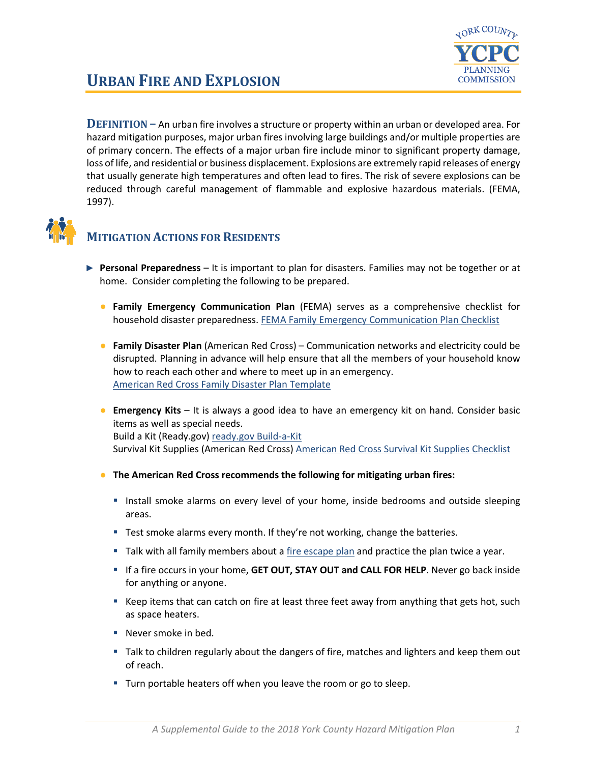

# **URBAN FIRE AND EXPLOSION**

**DEFINITION –** An urban fire involves a structure or property within an urban or developed area. For hazard mitigation purposes, major urban fires involving large buildings and/or multiple properties are of primary concern. The effects of a major urban fire include minor to significant property damage, loss of life, and residential or business displacement. Explosions are extremely rapid releases of energy that usually generate high temperatures and often lead to fires. The risk of severe explosions can be reduced through careful management of flammable and explosive hazardous materials. (FEMA, 1997).



#### **MITIGATION ACTIONS FOR RESIDENTS**

- ► **Personal Preparedness** It is important to plan for disasters. Families may not be together or at home. Consider completing the following to be prepared.
	- **Family Emergency Communication Plan** (FEMA) serves as a comprehensive checklist for household disaster preparedness. [FEMA Family Emergency Communication Plan Checklist](https://www.fema.gov/media-library-data/1530826217620-10775bfcb5d7600be8e6b88308b24d8c/P1094_CreateYourFamilyEmergencyCommunicationPlan_070318.pdf)
	- **Family Disaster Plan** (American Red Cross) Communication networks and electricity could be disrupted. Planning in advance will help ensure that all the members of your household know how to reach each other and where to meet up in an emergency. [American Red Cross Family Disaster Plan Template](https://www.redcross.org/content/dam/redcross/atg/PDF_s/Preparedness___Disaster_Recovery/General_Preparedness___Recovery/Home/ARC_Family_Disaster_Plan_Template_r083012.pdf)
	- **Emergency Kits** It is always a good idea to have an emergency kit on hand. Consider basic items as well as special needs. Build a Kit (Ready.gov) [ready.gov Build-a-Kit](https://www.ready.gov/build-a-kit) Survival Kit Supplies (American Red Cross) [American Red Cross Survival Kit Supplies Checklist](https://www.redcross.org/get-help/how-to-prepare-for-emergencies/survival-kit-supplies.html)
	- **The American Red Cross recommends the following for mitigating urban fires:**
		- **Install smoke alarms on every level of your home, inside bedrooms and outside sleeping** areas.
		- **Test smoke alarms every month. If they're not working, change the batteries.**
		- Talk with all family members about a [fire escape plan](https://www.redcross.org/content/dam/redcross/get-help/fire-safety/Home-Fire-Escape-Plan-English-Spanish.pdf) and practice the plan twice a year.
		- If a fire occurs in your home, GET OUT, STAY OUT and CALL FOR HELP. Never go back inside for anything or anyone.
		- Keep items that can catch on fire at least three feet away from anything that gets hot, such as space heaters.
		- Never smoke in bed.
		- Talk to children regularly about the dangers of fire, matches and lighters and keep them out of reach.
		- **Turn portable heaters off when you leave the room or go to sleep.**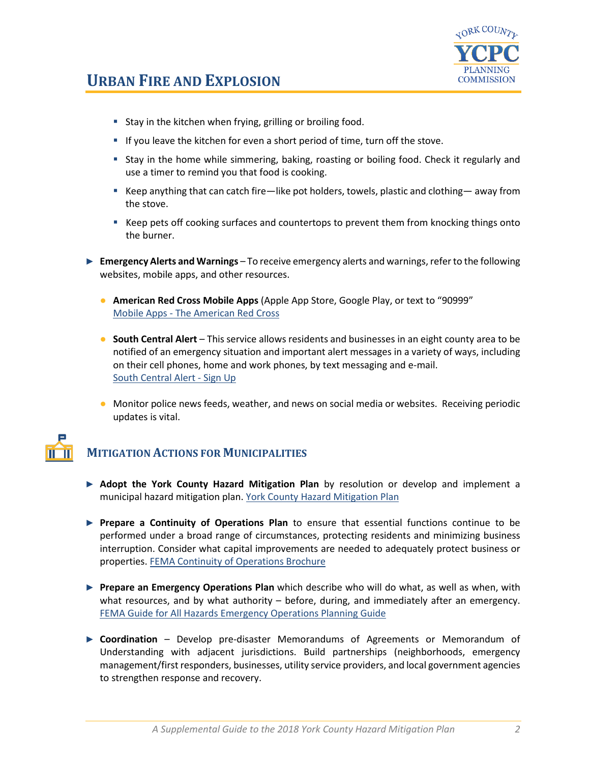

### **URBAN FIRE AND EXPLOSION**

- **Stay in the kitchen when frying, grilling or broiling food.**
- If you leave the kitchen for even a short period of time, turn off the stove.
- Stay in the home while simmering, baking, roasting or boiling food. Check it regularly and use a timer to remind you that food is cooking.
- Keep anything that can catch fire—like pot holders, towels, plastic and clothing— away from the stove.
- Keep pets off cooking surfaces and countertops to prevent them from knocking things onto the burner.
- ► **Emergency Alerts and Warnings** To receive emergency alerts and warnings, refer to the following websites, mobile apps, and other resources.
	- **American Red Cross Mobile Apps** (Apple App Store, Google Play, or text to "90999" Mobile Apps - [The American Red Cross](https://www.redcross.org/get-help/how-to-prepare-for-emergencies/mobile-apps.html)
	- **South Central Alert** This service allows residents and businesses in an eight county area to be notified of an emergency situation and important alert messages in a variety of ways, including on their cell phones, home and work phones, by text messaging and e-mail. [South Central Alert -](https://www.sctfpa.org/sc-alert.php) Sign Up
	- Monitor police news feeds, weather, and news on social media or websites. Receiving periodic updates is vital.

# **MITIGATION ACTIONS FOR MUNICIPALITIES**

- ► **Adopt the York County Hazard Mitigation Plan** by resolution or develop and implement a municipal hazard mitigation plan. [York County Hazard Mitigation Plan](http://ycpc.org/DocumentCenter/View/290/Hazard-Mitigation-Plan-PDF)
- ► **Prepare a Continuity of Operations Plan** to ensure that essential functions continue to be performed under a broad range of circumstances, protecting residents and minimizing business interruption. Consider what capital improvements are needed to adequately protect business or properties[. FEMA Continuity of Operations Brochure](https://www.fema.gov/pdf/about/org/ncp/coop_brochure.pdf)
- ► **Prepare an Emergency Operations Plan** which describe who will do what, as well as when, with what resources, and by what authority – before, during, and immediately after an emergency. [FEMA Guide for All Hazards Emergency Operations Planning Guide](https://www.fema.gov/pdf/plan/slg101.pdf)
- ► **Coordination** Develop pre-disaster Memorandums of Agreements or Memorandum of Understanding with adjacent jurisdictions. Build partnerships (neighborhoods, emergency management/first responders, businesses, utility service providers, and local government agencies to strengthen response and recovery.